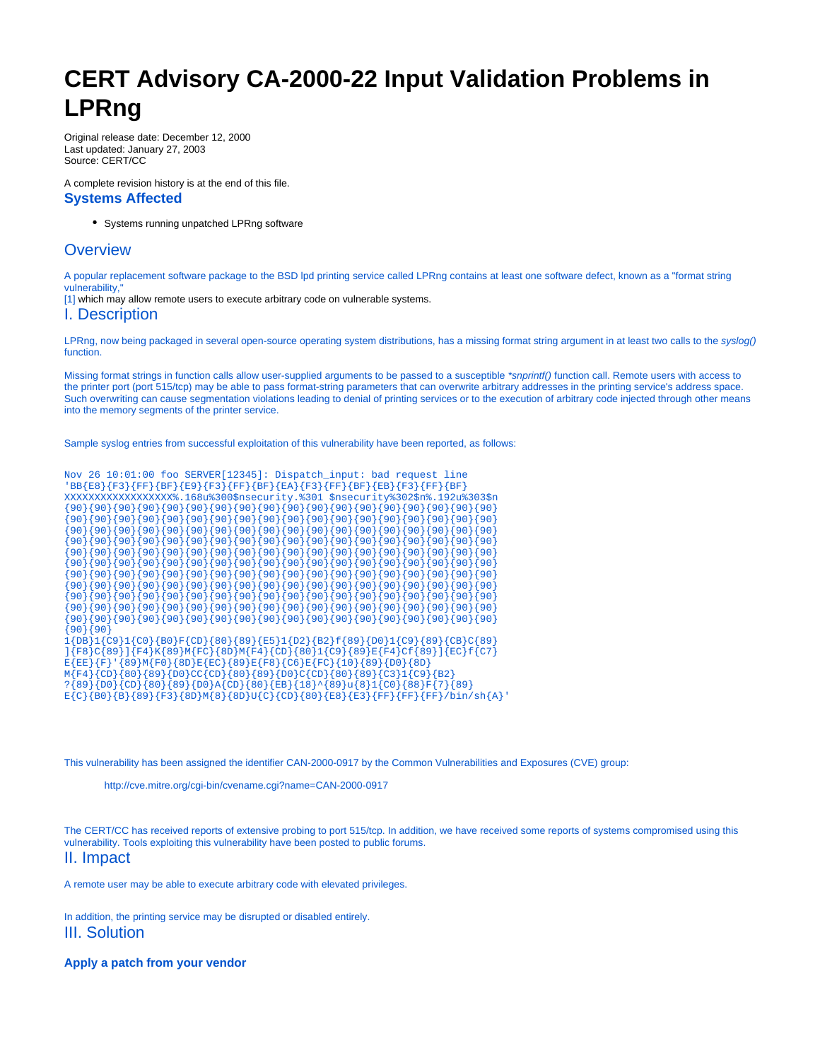# **CERT Advisory CA-2000-22 Input Validation Problems in LPRng**

Original release date: December 12, 2000 Last updated: January 27, 2003 Source: CERT/CC

A complete revision history is at the end of this file. **Systems Affected**

Systems running unpatched LPRng software

# **Overview**

A popular replacement software package to the BSD lpd printing service called LPRng contains at least one software defect, known as a "format string vulnerability,"

[\[1\]](#page-1-0) which may allow remote users to execute arbitrary code on vulnerable systems.

### I. Description

LPRng, now being packaged in several open-source operating system distributions, has a missing format string argument in at least two calls to the syslog() function.

Missing format strings in function calls allow user-supplied arguments to be passed to a susceptible \*snprintf() function call. Remote users with access to the printer port (port 515/tcp) may be able to pass format-string parameters that can overwrite arbitrary addresses in the printing service's address space. Such overwriting can cause segmentation violations leading to denial of printing services or to the execution of arbitrary code injected through other means into the memory segments of the printer service.

Sample syslog entries from successful exploitation of this vulnerability have been reported, as follows:

|          |  | Nov 26 10:01:00 foo SERVER[12345]: Dispatch_input: bad request line                            |  |  |  |  |  |  |  |  |                                                                                   |  |
|----------|--|------------------------------------------------------------------------------------------------|--|--|--|--|--|--|--|--|-----------------------------------------------------------------------------------|--|
|          |  | 'BB{E8}{F3}{FF}{BF}{E9}{F3}{FF}{BF}{EA}{F3}{FF}{BF}{EB}{F3}{FF}{BF}                            |  |  |  |  |  |  |  |  |                                                                                   |  |
|          |  |                                                                                                |  |  |  |  |  |  |  |  | XXXXXXXXXXXXXXXXX*.168u%300\$nsecurity.%301 \$nsecurity%302\$n%.192u%303\$n       |  |
|          |  |                                                                                                |  |  |  |  |  |  |  |  |                                                                                   |  |
|          |  |                                                                                                |  |  |  |  |  |  |  |  |                                                                                   |  |
|          |  |                                                                                                |  |  |  |  |  |  |  |  |                                                                                   |  |
|          |  |                                                                                                |  |  |  |  |  |  |  |  |                                                                                   |  |
|          |  |                                                                                                |  |  |  |  |  |  |  |  |                                                                                   |  |
|          |  |                                                                                                |  |  |  |  |  |  |  |  |                                                                                   |  |
|          |  |                                                                                                |  |  |  |  |  |  |  |  |                                                                                   |  |
|          |  |                                                                                                |  |  |  |  |  |  |  |  |                                                                                   |  |
|          |  |                                                                                                |  |  |  |  |  |  |  |  |                                                                                   |  |
|          |  |                                                                                                |  |  |  |  |  |  |  |  |                                                                                   |  |
|          |  |                                                                                                |  |  |  |  |  |  |  |  |                                                                                   |  |
| {90}{90} |  |                                                                                                |  |  |  |  |  |  |  |  |                                                                                   |  |
|          |  |                                                                                                |  |  |  |  |  |  |  |  | $1{DB}1{CO} {B0}F{CD}{80}{89}{E5}1{D2}{B2}{f89}{D1}{C9}{89}{CB}{CB}$              |  |
|          |  |                                                                                                |  |  |  |  |  |  |  |  | ]{F8}C{89}]{F4}K{89}M{FC}{8D}M{F4}{CD}{80}1{C9}{89}E{F4}Cf{89}]{EC}f{C7}          |  |
|          |  | $E{EE}{F} {S}$ $[6]$ $[80]$ $[60]$ $[80]$ $E{EC}{89}$ $E{F}$ $[68]$ $[66]$ $E{FC}{10}{00}{00}$ |  |  |  |  |  |  |  |  |                                                                                   |  |
|          |  | M{F4}{CD}{80}{89}{D0}CC{CD}{80}{89}{D0}C{CD}{80}{89}{C3}1{C9}{B2}                              |  |  |  |  |  |  |  |  |                                                                                   |  |
|          |  |                                                                                                |  |  |  |  |  |  |  |  | $?$ {89}{D0}{CD}{80}{B9}{D0}A{CD}{80}{EB}{18}^{89}u{8}1{C0}{88}F{7}{89}           |  |
|          |  |                                                                                                |  |  |  |  |  |  |  |  | $E{C}{B0}{B}{S}{S}{F3}{F3}{BD}{M}{8}{S}{B}U{C}{C}{D}{B}{B}{F8}{F}{F}{F}{F}{F}{F}$ |  |

This vulnerability has been assigned the identifier CAN-2000-0917 by the Common Vulnerabilities and Exposures (CVE) group:

<http://cve.mitre.org/cgi-bin/cvename.cgi?name=CAN-2000-0917>

The CERT/CC has received reports of extensive probing to port 515/tcp. In addition, we have received some reports of systems compromised using this vulnerability. Tools exploiting this vulnerability have been posted to public forums. II. Impact

A remote user may be able to execute arbitrary code with elevated privileges.

In addition, the printing service may be disrupted or disabled entirely. III. Solution

#### **Apply a patch from your vendor**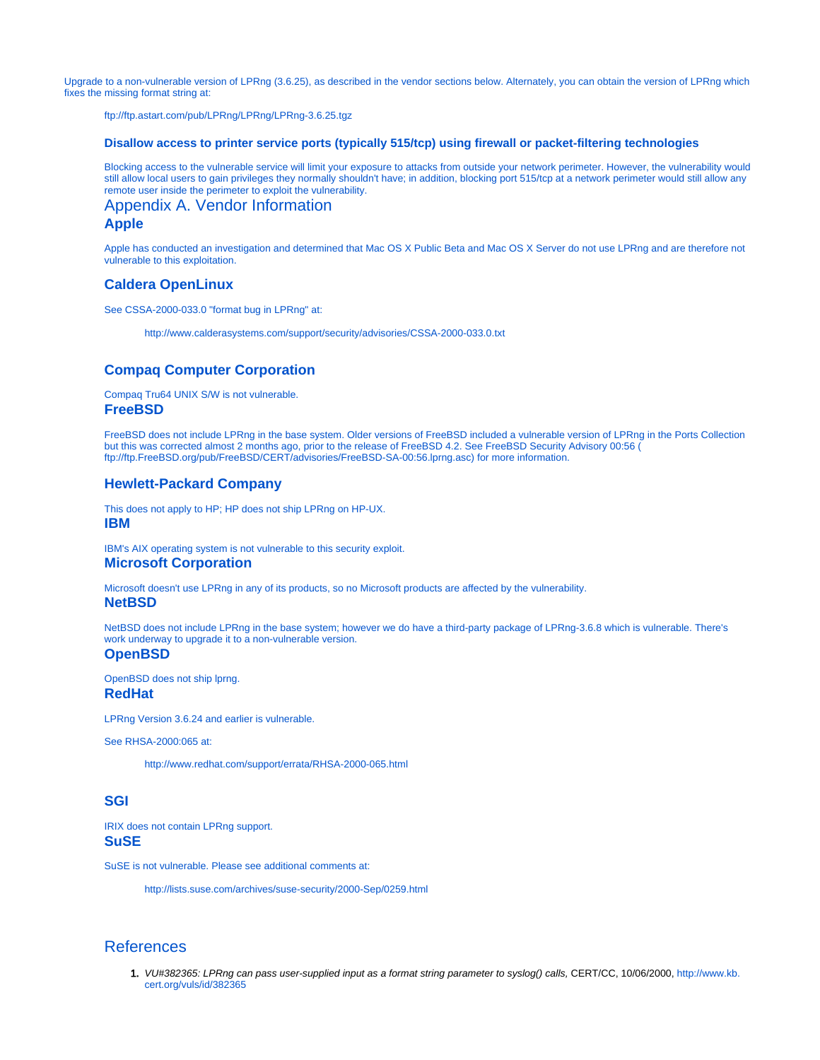Upgrade to a non-vulnerable version of LPRng (3.6.25), as described in the vendor sections below. Alternately, you can obtain the version of LPRng which fixes the missing format string at:

<ftp://ftp.astart.com/pub/LPRng/LPRng/LPRng-3.6.25.tgz>

#### **Disallow access to printer service ports (typically 515/tcp) using firewall or packet-filtering technologies**

Blocking access to the vulnerable service will limit your exposure to attacks from outside your network perimeter. However, the vulnerability would still allow local users to gain privileges they normally shouldn't have; in addition, blocking port 515/tcp at a network perimeter would still allow any remote user inside the perimeter to exploit the vulnerability.

Appendix A. Vendor Information **Apple**

Apple has conducted an investigation and determined that Mac OS X Public Beta and Mac OS X Server do not use LPRng and are therefore not vulnerable to this exploitation.

#### **Caldera OpenLinux**

See CSSA-2000-033.0 "format bug in LPRng" at:

[http://www.calderasystems.com/support/security/advisories/CSSA-2000-033.0.txt](http://www.calderasystems.com/support/security/advisories/CSSA-2000-033.0.txt
)

#### **Compaq Computer Corporation**

Compaq Tru64 UNIX S/W is not vulnerable. **FreeBSD**

FreeBSD does not include LPRng in the base system. Older versions of FreeBSD included a vulnerable version of LPRng in the Ports Collection but this was corrected almost 2 months ago, prior to the release of FreeBSD 4.2. See FreeBSD Security Advisory 00:56 ( [ftp://ftp.FreeBSD.org/pub/FreeBSD/CERT/advisories/FreeBSD-SA-00:56.lprng.asc\)](ftp://ftp.FreeBSD.org/pub/FreeBSD/CERT/advisories/FreeBSD-SA-00:56.lprng.asc) for more information.

## **Hewlett-Packard Company**

This does not apply to HP; HP does not ship LPRng on HP-UX. **IBM**

IBM's AIX operating system is not vulnerable to this security exploit. **Microsoft Corporation**

Microsoft doesn't use LPRng in any of its products, so no Microsoft products are affected by the vulnerability.

**NetBSD**

NetBSD does not include LPRng in the base system; however we do have a third-party package of LPRng-3.6.8 which is vulnerable. There's work underway to upgrade it to a non-vulnerable version.

**OpenBSD**

OpenBSD does not ship lprng. **RedHat**

LPRng Version 3.6.24 and earlier is vulnerable.

See RHSA-2000:065 at:

<http://www.redhat.com/support/errata/RHSA-2000-065.html>

## **SGI**

IRIX does not contain LPRng support. **SuSE**

SuSE is not vulnerable. Please see additional comments at:

<http://lists.suse.com/archives/suse-security/2000-Sep/0259.html>

# <span id="page-1-0"></span>References

1. VU#382365: LPRng can pass user-supplied input as a format string parameter to syslog() calls, CERT/CC, 10/06/2000, [http://www.kb.](http://www.kb.cert.org/vuls/id/382365) [cert.org/vuls/id/382365](http://www.kb.cert.org/vuls/id/382365)